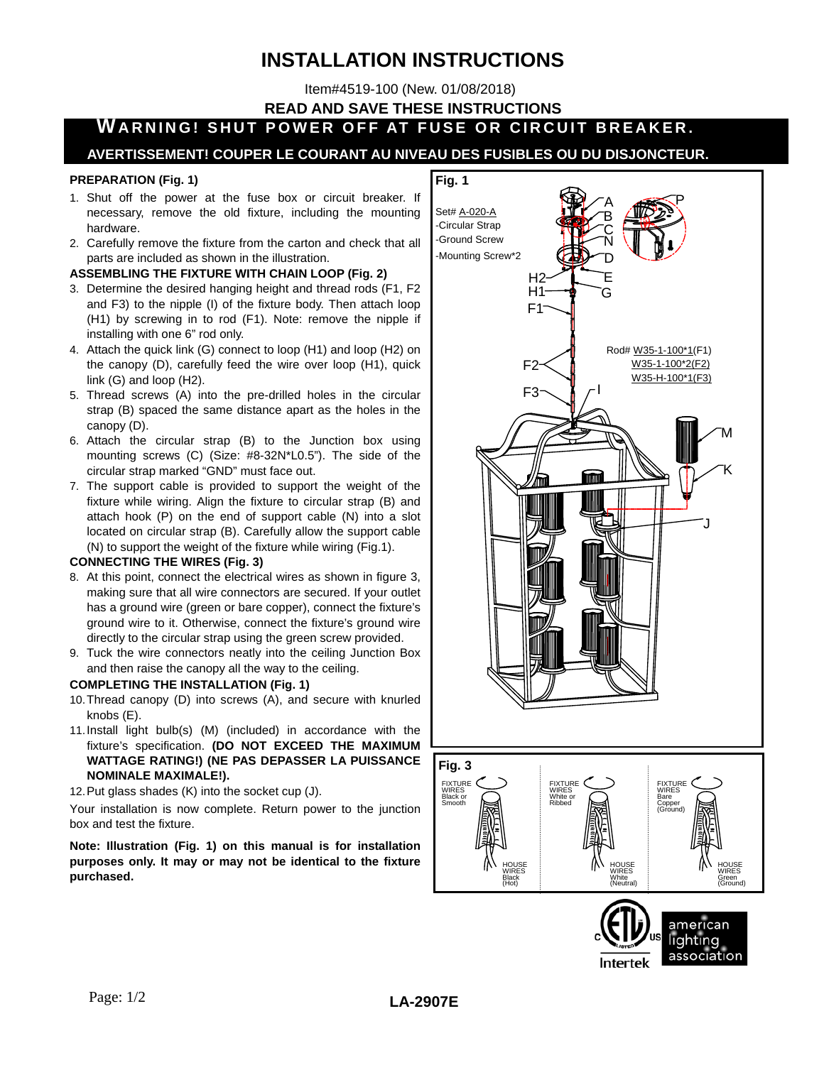# **INSTALLATION INSTRUCTIONS**

Item#4519-100 (New. 01/08/2018)

**READ AND SAVE THESE INSTRUCTIONS**

# **WARNING! SHUT POWER OFF AT FUSE OR CIRCUIT BREAKER.**

### **AVERTISSEMENT! COUPER LE COURANT AU NIVEAU DES FUSIBLES OU DU DISJONCTEUR.**

#### **PREPARATION (Fig. 1)**

- 
- 1. Shut off the power at the fuse box or circuit breaker. If necessary, remove the old fixture, including the mounting hardware.
- 2. Carefully remove the fixture from the carton and check that all parts are included as shown in the illustration.

#### **ASSEMBLING THE FIXTURE WITH CHAIN LOOP (Fig. 2)**

- 3. Determine the desired hanging height and thread rods (F1, F2 and F3) to the nipple (I) of the fixture body. Then attach loop (H1) by screwing in to rod (F1). Note: remove the nipple if installing with one 6" rod only.
- 4. Attach the quick link (G) connect to loop (H1) and loop (H2) on the canopy (D), carefully feed the wire over loop (H1), quick link (G) and loop (H2).
- 5. Thread screws (A) into the pre-drilled holes in the circular strap (B) spaced the same distance apart as the holes in the canopy (D).
- 6. Attach the circular strap (B) to the Junction box using mounting screws (C) (Size: #8-32N\*L0.5"). The side of the circular strap marked "GND" must face out.
- 7. The support cable is provided to support the weight of the fixture while wiring. Align the fixture to circular strap (B) and attach hook (P) on the end of support cable (N) into a slot located on circular strap (B). Carefully allow the support cable (N) to support the weight of the fixture while wiring (Fig.1).

#### **CONNECTING THE WIRES (Fig. 3)**

- 8. At this point, connect the electrical wires as shown in figure 3, making sure that all wire connectors are secured. If your outlet has a ground wire (green or bare copper), connect the fixture's ground wire to it. Otherwise, connect the fixture's ground wire directly to the circular strap using the green screw provided.
- 9. Tuck the wire connectors neatly into the ceiling Junction Box and then raise the canopy all the way to the ceiling.

#### **COMPLETING THE INSTALLATION (Fig. 1)**

- 10. Thread canopy (D) into screws (A), and secure with knurled knobs (E).
- 11. Install light bulb(s) (M) (included) in accordance with the fixture's specification. **(DO NOT EXCEED THE MAXIMUM WATTAGE RATING!) (NE PAS DEPASSER LA PUISSANCE NOMINALE MAXIMALE!).**
- 12. Put glass shades (K) into the socket cup (J).

Your installation is now complete. Return power to the junction box and test the fixture.

**Note: Illustration (Fig. 1) on this manual is for installation purposes only. It may or may not be identical to the fixture purchased.**